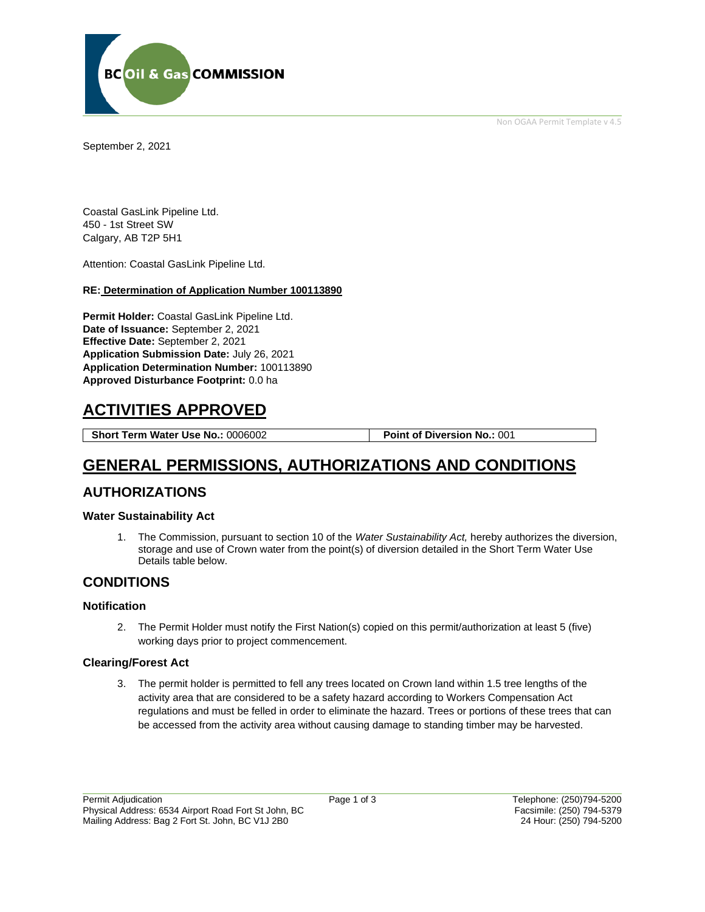Non OGAA Permit Template v 4.5



September 2, 2021

Coastal GasLink Pipeline Ltd. 450 - 1st Street SW Calgary, AB T2P 5H1

Attention: Coastal GasLink Pipeline Ltd.

#### **RE: Determination of Application Number 100113890**

**Permit Holder:** Coastal GasLink Pipeline Ltd. **Date of Issuance:** September 2, 2021 **Effective Date:** September 2, 2021 **Application Submission Date:** July 26, 2021 **Application Determination Number:** 100113890 **Approved Disturbance Footprint:** 0.0 ha

# **ACTIVITIES APPROVED**

**Short Term Water Use No.:** 0006002 **Point of Diversion No.:** 001

# **GENERAL PERMISSIONS, AUTHORIZATIONS AND CONDITIONS**

### **AUTHORIZATIONS**

#### **Water Sustainability Act**

1. The Commission, pursuant to section 10 of the *Water Sustainability Act,* hereby authorizes the diversion, storage and use of Crown water from the point(s) of diversion detailed in the Short Term Water Use Details table below.

### **CONDITIONS**

#### **Notification**

2. The Permit Holder must notify the First Nation(s) copied on this permit/authorization at least 5 (five) working days prior to project commencement.

#### **Clearing/Forest Act**

3. The permit holder is permitted to fell any trees located on Crown land within 1.5 tree lengths of the activity area that are considered to be a safety hazard according to Workers Compensation Act regulations and must be felled in order to eliminate the hazard. Trees or portions of these trees that can be accessed from the activity area without causing damage to standing timber may be harvested.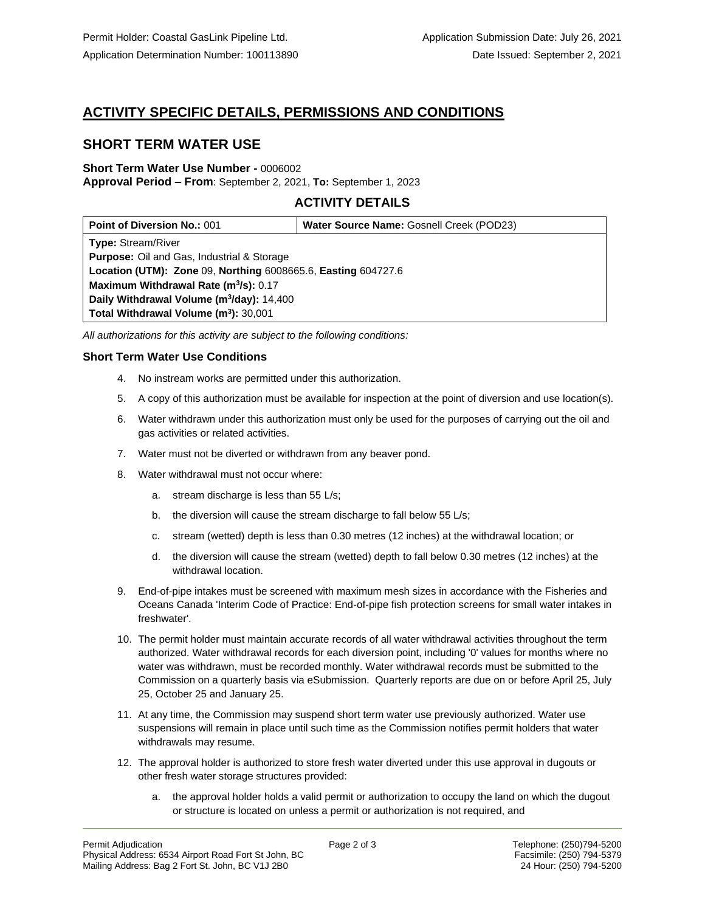## **ACTIVITY SPECIFIC DETAILS, PERMISSIONS AND CONDITIONS**

### **SHORT TERM WATER USE**

# **Short Term Water Use Number -** 0006002

**Approval Period – From**: September 2, 2021, **To:** September 1, 2023

### **ACTIVITY DETAILS**

| <b>Point of Diversion No.: 001</b>                            | Water Source Name: Gosnell Creek (POD23) |
|---------------------------------------------------------------|------------------------------------------|
| <b>Type: Stream/River</b>                                     |                                          |
| <b>Purpose:</b> Oil and Gas, Industrial & Storage             |                                          |
| Location (UTM): Zone 09, Northing 6008665.6, Easting 604727.6 |                                          |
| Maximum Withdrawal Rate (m <sup>3</sup> /s): 0.17             |                                          |
| Daily Withdrawal Volume (m <sup>3</sup> /day): 14,400         |                                          |
| Total Withdrawal Volume (m <sup>3</sup> ): 30,001             |                                          |

*All authorizations for this activity are subject to the following conditions:*

#### **Short Term Water Use Conditions**

- 4. No instream works are permitted under this authorization.
- 5. A copy of this authorization must be available for inspection at the point of diversion and use location(s).
- 6. Water withdrawn under this authorization must only be used for the purposes of carrying out the oil and gas activities or related activities.
- 7. Water must not be diverted or withdrawn from any beaver pond.
- 8. Water withdrawal must not occur where:
	- a. stream discharge is less than 55 L/s;
	- b. the diversion will cause the stream discharge to fall below 55 L/s;
	- c. stream (wetted) depth is less than 0.30 metres (12 inches) at the withdrawal location; or
	- d. the diversion will cause the stream (wetted) depth to fall below 0.30 metres (12 inches) at the withdrawal location.
- 9. End-of-pipe intakes must be screened with maximum mesh sizes in accordance with the Fisheries and Oceans Canada 'Interim Code of Practice: End-of-pipe fish protection screens for small water intakes in freshwater'.
- 10. The permit holder must maintain accurate records of all water withdrawal activities throughout the term authorized. Water withdrawal records for each diversion point, including '0' values for months where no water was withdrawn, must be recorded monthly. Water withdrawal records must be submitted to the Commission on a quarterly basis via eSubmission. Quarterly reports are due on or before April 25, July 25, October 25 and January 25.
- 11. At any time, the Commission may suspend short term water use previously authorized. Water use suspensions will remain in place until such time as the Commission notifies permit holders that water withdrawals may resume.
- 12. The approval holder is authorized to store fresh water diverted under this use approval in dugouts or other fresh water storage structures provided:
	- a. the approval holder holds a valid permit or authorization to occupy the land on which the dugout or structure is located on unless a permit or authorization is not required, and